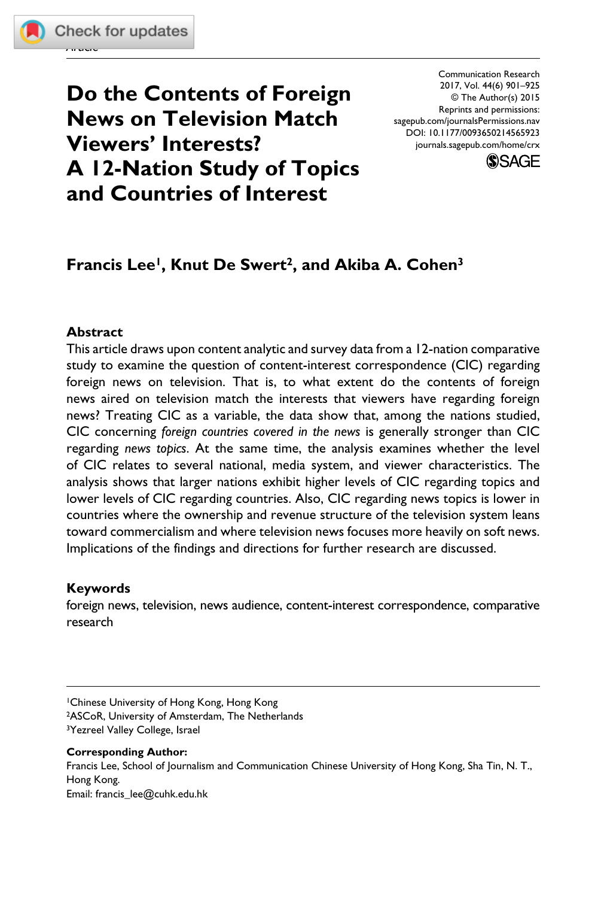

*[Article](http://crossmark.crossref.org/dialog/?doi=10.1177%2F0093650214565923&domain=pdf&date_stamp=2015-01-13)*

**Do the Contents of Foreign News on Television Match Viewers' Interests? A 12-Nation Study of Topics and Countries of Interest**

Communication Research 2017, Vol. 44(6) 901–925 © The Author(s) 2015 Reprints and permissions: [sagepub.com/journalsPermissions.nav](http://sagepub.com/journalsPermissions.nav) DOI: [10.1177/0093650214565923](http://doi.org/10.1177/0093650214565923) [journals.sagepub.com/home/crx](http://journals.sagepub.com/home/crx)



# Francis Lee<sup>1</sup>, Knut De Swert<sup>2</sup>, and Akiba A. Cohen<sup>3</sup>

### **Abstract**

This article draws upon content analytic and survey data from a 12-nation comparative study to examine the question of content-interest correspondence (CIC) regarding foreign news on television. That is, to what extent do the contents of foreign news aired on television match the interests that viewers have regarding foreign news? Treating CIC as a variable, the data show that, among the nations studied, CIC concerning *foreign countries covered in the news* is generally stronger than CIC regarding *news topics*. At the same time, the analysis examines whether the level of CIC relates to several national, media system, and viewer characteristics. The analysis shows that larger nations exhibit higher levels of CIC regarding topics and lower levels of CIC regarding countries. Also, CIC regarding news topics is lower in countries where the ownership and revenue structure of the television system leans toward commercialism and where television news focuses more heavily on soft news. Implications of the findings and directions for further research are discussed.

### **Keywords**

foreign news, television, news audience, content-interest correspondence, comparative research

1Chinese University of Hong Kong, Hong Kong 2ASCoR, University of Amsterdam, The Netherlands 3Yezreel Valley College, Israel

#### **Corresponding Author:**

Francis Lee, School of Journalism and Communication Chinese University of Hong Kong, Sha Tin, N. T., Hong Kong. Email: [francis\\_lee@cuhk.edu.hk](mailto:francis_lee@cuhk.edu.hk)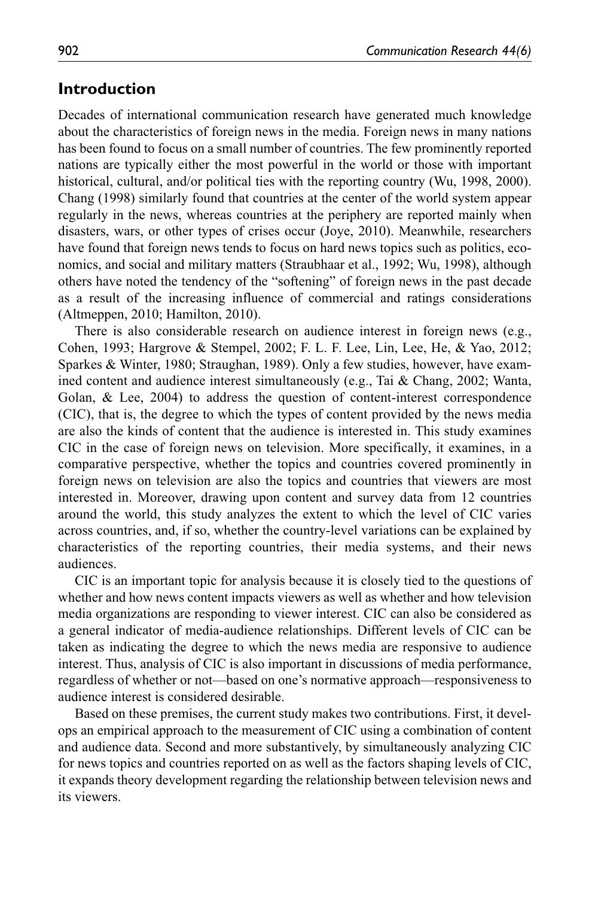### **Introduction**

Decades of international communication research have generated much knowledge about the characteristics of foreign news in the media. Foreign news in many nations has been found to focus on a small number of countries. The few prominently reported nations are typically either the most powerful in the world or those with important historical, cultural, and/or political ties with the reporting country (Wu, 1998, 2000). Chang (1998) similarly found that countries at the center of the world system appear regularly in the news, whereas countries at the periphery are reported mainly when disasters, wars, or other types of crises occur (Joye, 2010). Meanwhile, researchers have found that foreign news tends to focus on hard news topics such as politics, economics, and social and military matters (Straubhaar et al., 1992; Wu, 1998), although others have noted the tendency of the "softening" of foreign news in the past decade as a result of the increasing influence of commercial and ratings considerations (Altmeppen, 2010; Hamilton, 2010).

There is also considerable research on audience interest in foreign news (e.g., Cohen, 1993; Hargrove & Stempel, 2002; F. L. F. Lee, Lin, Lee, He, & Yao, 2012; Sparkes & Winter, 1980; Straughan, 1989). Only a few studies, however, have examined content and audience interest simultaneously (e.g., Tai & Chang, 2002; Wanta, Golan, & Lee, 2004) to address the question of content-interest correspondence (CIC), that is, the degree to which the types of content provided by the news media are also the kinds of content that the audience is interested in. This study examines CIC in the case of foreign news on television. More specifically, it examines, in a comparative perspective, whether the topics and countries covered prominently in foreign news on television are also the topics and countries that viewers are most interested in. Moreover, drawing upon content and survey data from 12 countries around the world, this study analyzes the extent to which the level of CIC varies across countries, and, if so, whether the country-level variations can be explained by characteristics of the reporting countries, their media systems, and their news audiences.

CIC is an important topic for analysis because it is closely tied to the questions of whether and how news content impacts viewers as well as whether and how television media organizations are responding to viewer interest. CIC can also be considered as a general indicator of media-audience relationships. Different levels of CIC can be taken as indicating the degree to which the news media are responsive to audience interest. Thus, analysis of CIC is also important in discussions of media performance, regardless of whether or not—based on one's normative approach—responsiveness to audience interest is considered desirable.

Based on these premises, the current study makes two contributions. First, it develops an empirical approach to the measurement of CIC using a combination of content and audience data. Second and more substantively, by simultaneously analyzing CIC for news topics and countries reported on as well as the factors shaping levels of CIC, it expands theory development regarding the relationship between television news and its viewers.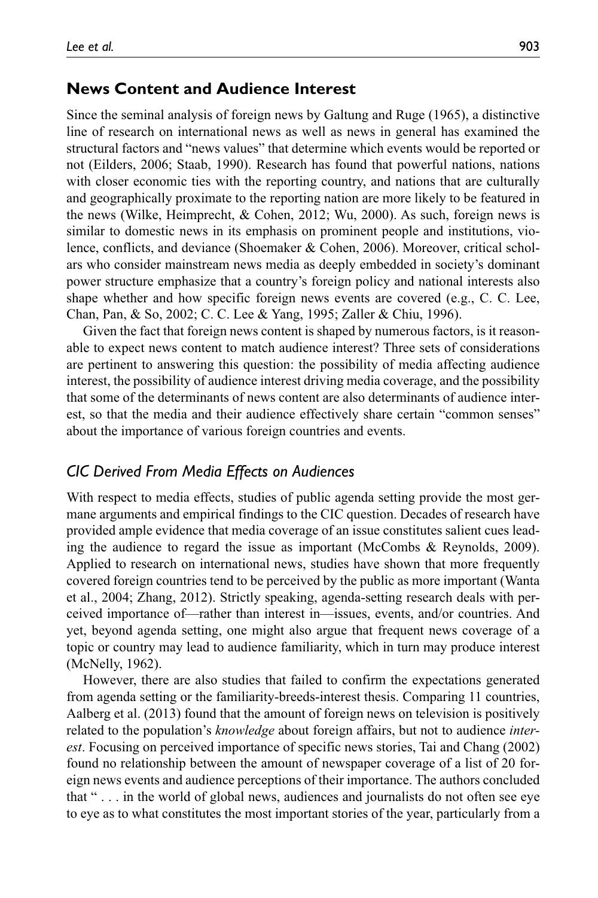### **News Content and Audience Interest**

Since the seminal analysis of foreign news by Galtung and Ruge (1965), a distinctive line of research on international news as well as news in general has examined the structural factors and "news values" that determine which events would be reported or not (Eilders, 2006; Staab, 1990). Research has found that powerful nations, nations with closer economic ties with the reporting country, and nations that are culturally and geographically proximate to the reporting nation are more likely to be featured in the news (Wilke, Heimprecht, & Cohen, 2012; Wu, 2000). As such, foreign news is similar to domestic news in its emphasis on prominent people and institutions, violence, conflicts, and deviance (Shoemaker & Cohen, 2006). Moreover, critical scholars who consider mainstream news media as deeply embedded in society's dominant power structure emphasize that a country's foreign policy and national interests also shape whether and how specific foreign news events are covered (e.g., C. C. Lee, Chan, Pan, & So, 2002; C. C. Lee & Yang, 1995; Zaller & Chiu, 1996).

Given the fact that foreign news content is shaped by numerous factors, is it reasonable to expect news content to match audience interest? Three sets of considerations are pertinent to answering this question: the possibility of media affecting audience interest, the possibility of audience interest driving media coverage, and the possibility that some of the determinants of news content are also determinants of audience interest, so that the media and their audience effectively share certain "common senses" about the importance of various foreign countries and events.

### *CIC Derived From Media Effects on Audiences*

With respect to media effects, studies of public agenda setting provide the most germane arguments and empirical findings to the CIC question. Decades of research have provided ample evidence that media coverage of an issue constitutes salient cues leading the audience to regard the issue as important (McCombs & Reynolds, 2009). Applied to research on international news, studies have shown that more frequently covered foreign countries tend to be perceived by the public as more important (Wanta et al., 2004; Zhang, 2012). Strictly speaking, agenda-setting research deals with perceived importance of—rather than interest in—issues, events, and/or countries. And yet, beyond agenda setting, one might also argue that frequent news coverage of a topic or country may lead to audience familiarity, which in turn may produce interest (McNelly, 1962).

However, there are also studies that failed to confirm the expectations generated from agenda setting or the familiarity-breeds-interest thesis. Comparing 11 countries, Aalberg et al. (2013) found that the amount of foreign news on television is positively related to the population's *knowledge* about foreign affairs, but not to audience *interest*. Focusing on perceived importance of specific news stories, Tai and Chang (2002) found no relationship between the amount of newspaper coverage of a list of 20 foreign news events and audience perceptions of their importance. The authors concluded that " . . . in the world of global news, audiences and journalists do not often see eye to eye as to what constitutes the most important stories of the year, particularly from a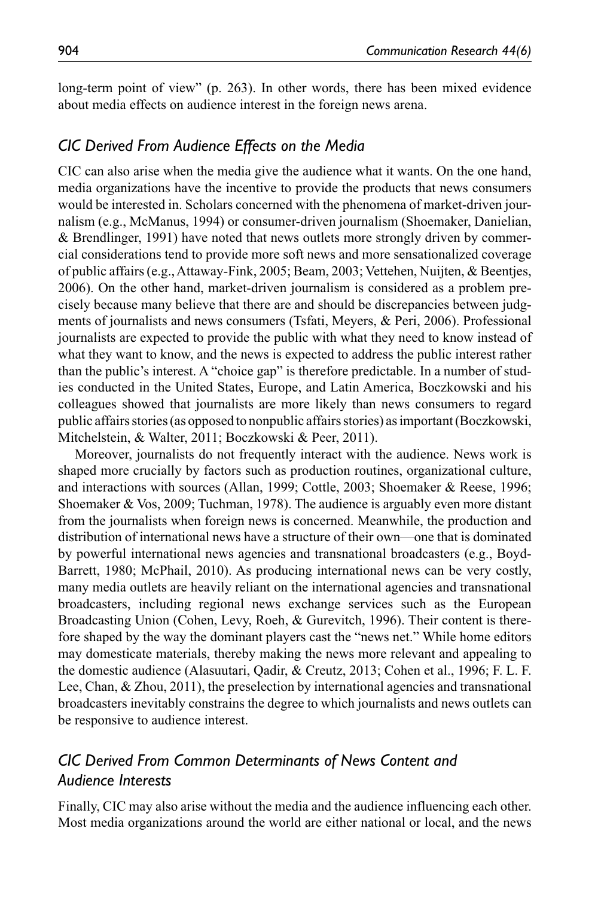long-term point of view" (p. 263). In other words, there has been mixed evidence about media effects on audience interest in the foreign news arena.

#### *CIC Derived From Audience Effects on the Media*

CIC can also arise when the media give the audience what it wants. On the one hand, media organizations have the incentive to provide the products that news consumers would be interested in. Scholars concerned with the phenomena of market-driven journalism (e.g., McManus, 1994) or consumer-driven journalism (Shoemaker, Danielian, & Brendlinger, 1991) have noted that news outlets more strongly driven by commercial considerations tend to provide more soft news and more sensationalized coverage of public affairs (e.g., Attaway-Fink, 2005; Beam, 2003; Vettehen, Nuijten, & Beentjes, 2006). On the other hand, market-driven journalism is considered as a problem precisely because many believe that there are and should be discrepancies between judgments of journalists and news consumers (Tsfati, Meyers, & Peri, 2006). Professional journalists are expected to provide the public with what they need to know instead of what they want to know, and the news is expected to address the public interest rather than the public's interest. A "choice gap" is therefore predictable. In a number of studies conducted in the United States, Europe, and Latin America, Boczkowski and his colleagues showed that journalists are more likely than news consumers to regard public affairs stories (as opposed to nonpublic affairs stories) as important (Boczkowski, Mitchelstein, & Walter, 2011; Boczkowski & Peer, 2011).

Moreover, journalists do not frequently interact with the audience. News work is shaped more crucially by factors such as production routines, organizational culture, and interactions with sources (Allan, 1999; Cottle, 2003; Shoemaker & Reese, 1996; Shoemaker & Vos, 2009; Tuchman, 1978). The audience is arguably even more distant from the journalists when foreign news is concerned. Meanwhile, the production and distribution of international news have a structure of their own—one that is dominated by powerful international news agencies and transnational broadcasters (e.g., Boyd-Barrett, 1980; McPhail, 2010). As producing international news can be very costly, many media outlets are heavily reliant on the international agencies and transnational broadcasters, including regional news exchange services such as the European Broadcasting Union (Cohen, Levy, Roeh, & Gurevitch, 1996). Their content is therefore shaped by the way the dominant players cast the "news net." While home editors may domesticate materials, thereby making the news more relevant and appealing to the domestic audience (Alasuutari, Qadir, & Creutz, 2013; Cohen et al., 1996; F. L. F. Lee, Chan, & Zhou, 2011), the preselection by international agencies and transnational broadcasters inevitably constrains the degree to which journalists and news outlets can be responsive to audience interest.

# *CIC Derived From Common Determinants of News Content and Audience Interests*

Finally, CIC may also arise without the media and the audience influencing each other. Most media organizations around the world are either national or local, and the news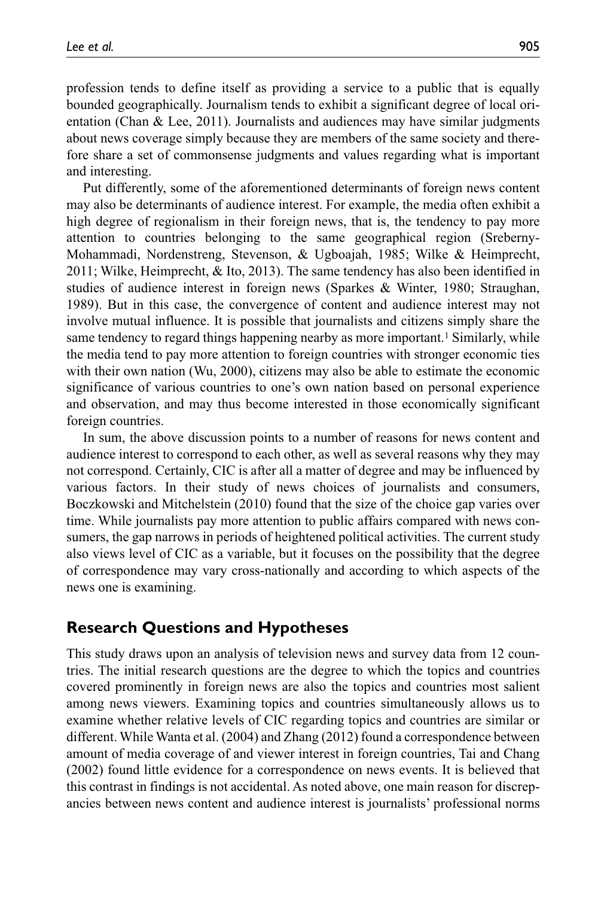profession tends to define itself as providing a service to a public that is equally bounded geographically. Journalism tends to exhibit a significant degree of local orientation (Chan & Lee, 2011). Journalists and audiences may have similar judgments about news coverage simply because they are members of the same society and therefore share a set of commonsense judgments and values regarding what is important and interesting.

Put differently, some of the aforementioned determinants of foreign news content may also be determinants of audience interest. For example, the media often exhibit a high degree of regionalism in their foreign news, that is, the tendency to pay more attention to countries belonging to the same geographical region (Sreberny-Mohammadi, Nordenstreng, Stevenson, & Ugboajah, 1985; Wilke & Heimprecht, 2011; Wilke, Heimprecht, & Ito, 2013). The same tendency has also been identified in studies of audience interest in foreign news (Sparkes & Winter, 1980; Straughan, 1989). But in this case, the convergence of content and audience interest may not involve mutual influence. It is possible that journalists and citizens simply share the same tendency to regard things happening nearby as more important.<sup>1</sup> Similarly, while the media tend to pay more attention to foreign countries with stronger economic ties with their own nation (Wu, 2000), citizens may also be able to estimate the economic significance of various countries to one's own nation based on personal experience and observation, and may thus become interested in those economically significant foreign countries.

In sum, the above discussion points to a number of reasons for news content and audience interest to correspond to each other, as well as several reasons why they may not correspond. Certainly, CIC is after all a matter of degree and may be influenced by various factors. In their study of news choices of journalists and consumers, Boczkowski and Mitchelstein (2010) found that the size of the choice gap varies over time. While journalists pay more attention to public affairs compared with news consumers, the gap narrows in periods of heightened political activities. The current study also views level of CIC as a variable, but it focuses on the possibility that the degree of correspondence may vary cross-nationally and according to which aspects of the news one is examining.

# **Research Questions and Hypotheses**

This study draws upon an analysis of television news and survey data from 12 countries. The initial research questions are the degree to which the topics and countries covered prominently in foreign news are also the topics and countries most salient among news viewers. Examining topics and countries simultaneously allows us to examine whether relative levels of CIC regarding topics and countries are similar or different. While Wanta et al. (2004) and Zhang (2012) found a correspondence between amount of media coverage of and viewer interest in foreign countries, Tai and Chang (2002) found little evidence for a correspondence on news events. It is believed that this contrast in findings is not accidental. As noted above, one main reason for discrepancies between news content and audience interest is journalists' professional norms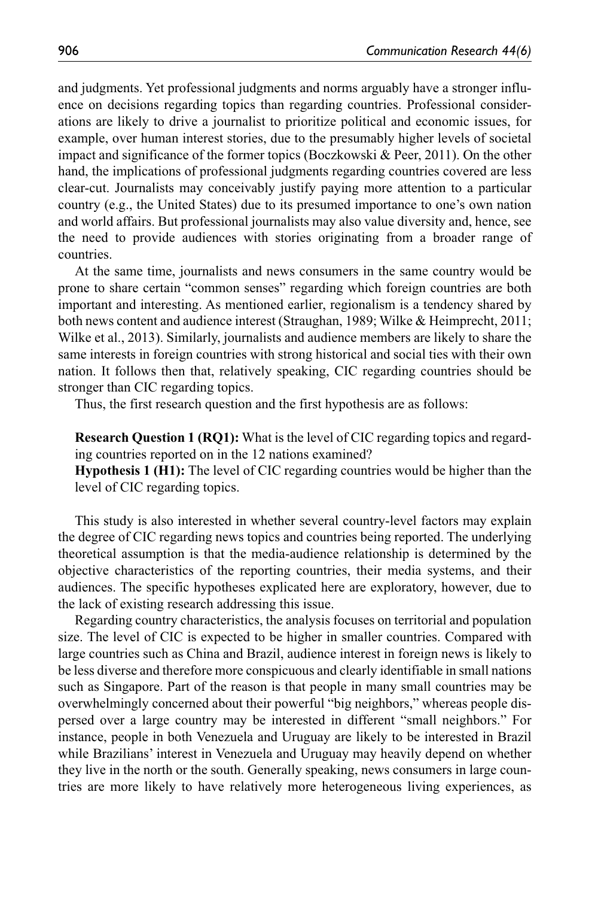and judgments. Yet professional judgments and norms arguably have a stronger influence on decisions regarding topics than regarding countries. Professional considerations are likely to drive a journalist to prioritize political and economic issues, for example, over human interest stories, due to the presumably higher levels of societal impact and significance of the former topics (Boczkowski & Peer, 2011). On the other hand, the implications of professional judgments regarding countries covered are less clear-cut. Journalists may conceivably justify paying more attention to a particular country (e.g., the United States) due to its presumed importance to one's own nation and world affairs. But professional journalists may also value diversity and, hence, see the need to provide audiences with stories originating from a broader range of countries.

At the same time, journalists and news consumers in the same country would be prone to share certain "common senses" regarding which foreign countries are both important and interesting. As mentioned earlier, regionalism is a tendency shared by both news content and audience interest (Straughan, 1989; Wilke & Heimprecht, 2011; Wilke et al., 2013). Similarly, journalists and audience members are likely to share the same interests in foreign countries with strong historical and social ties with their own nation. It follows then that, relatively speaking, CIC regarding countries should be stronger than CIC regarding topics.

Thus, the first research question and the first hypothesis are as follows:

**Research Question 1 (RQ1):** What is the level of CIC regarding topics and regarding countries reported on in the 12 nations examined?

**Hypothesis 1 (H1):** The level of CIC regarding countries would be higher than the level of CIC regarding topics.

This study is also interested in whether several country-level factors may explain the degree of CIC regarding news topics and countries being reported. The underlying theoretical assumption is that the media-audience relationship is determined by the objective characteristics of the reporting countries, their media systems, and their audiences. The specific hypotheses explicated here are exploratory, however, due to the lack of existing research addressing this issue.

Regarding country characteristics, the analysis focuses on territorial and population size. The level of CIC is expected to be higher in smaller countries. Compared with large countries such as China and Brazil, audience interest in foreign news is likely to be less diverse and therefore more conspicuous and clearly identifiable in small nations such as Singapore. Part of the reason is that people in many small countries may be overwhelmingly concerned about their powerful "big neighbors," whereas people dispersed over a large country may be interested in different "small neighbors." For instance, people in both Venezuela and Uruguay are likely to be interested in Brazil while Brazilians' interest in Venezuela and Uruguay may heavily depend on whether they live in the north or the south. Generally speaking, news consumers in large countries are more likely to have relatively more heterogeneous living experiences, as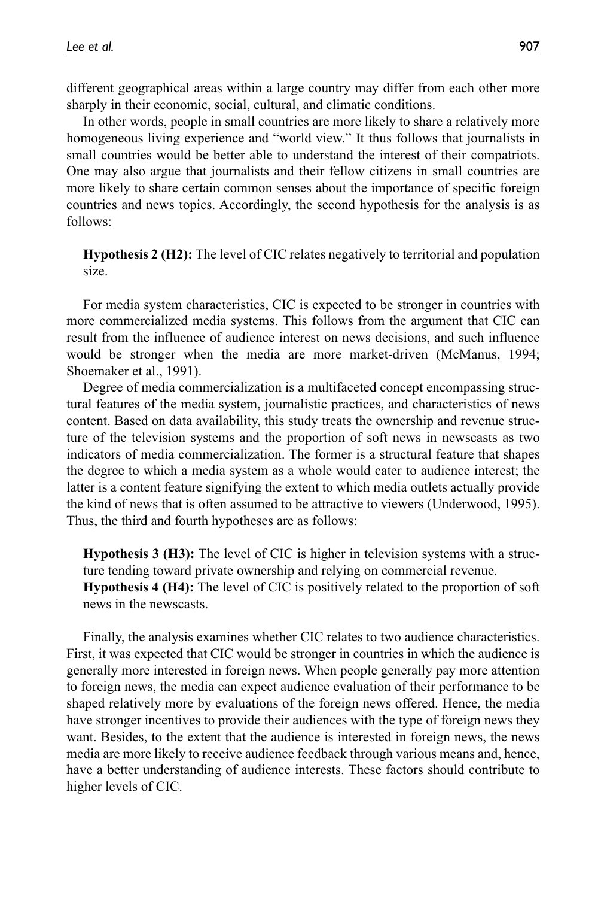different geographical areas within a large country may differ from each other more sharply in their economic, social, cultural, and climatic conditions.

In other words, people in small countries are more likely to share a relatively more homogeneous living experience and "world view." It thus follows that journalists in small countries would be better able to understand the interest of their compatriots. One may also argue that journalists and their fellow citizens in small countries are more likely to share certain common senses about the importance of specific foreign countries and news topics. Accordingly, the second hypothesis for the analysis is as follows:

**Hypothesis 2 (H2):** The level of CIC relates negatively to territorial and population size.

For media system characteristics, CIC is expected to be stronger in countries with more commercialized media systems. This follows from the argument that CIC can result from the influence of audience interest on news decisions, and such influence would be stronger when the media are more market-driven (McManus, 1994; Shoemaker et al., 1991).

Degree of media commercialization is a multifaceted concept encompassing structural features of the media system, journalistic practices, and characteristics of news content. Based on data availability, this study treats the ownership and revenue structure of the television systems and the proportion of soft news in newscasts as two indicators of media commercialization. The former is a structural feature that shapes the degree to which a media system as a whole would cater to audience interest; the latter is a content feature signifying the extent to which media outlets actually provide the kind of news that is often assumed to be attractive to viewers (Underwood, 1995). Thus, the third and fourth hypotheses are as follows:

**Hypothesis 3 (H3):** The level of CIC is higher in television systems with a structure tending toward private ownership and relying on commercial revenue. **Hypothesis 4 (H4):** The level of CIC is positively related to the proportion of soft news in the newscasts.

Finally, the analysis examines whether CIC relates to two audience characteristics. First, it was expected that CIC would be stronger in countries in which the audience is generally more interested in foreign news. When people generally pay more attention to foreign news, the media can expect audience evaluation of their performance to be shaped relatively more by evaluations of the foreign news offered. Hence, the media have stronger incentives to provide their audiences with the type of foreign news they want. Besides, to the extent that the audience is interested in foreign news, the news media are more likely to receive audience feedback through various means and, hence, have a better understanding of audience interests. These factors should contribute to higher levels of CIC.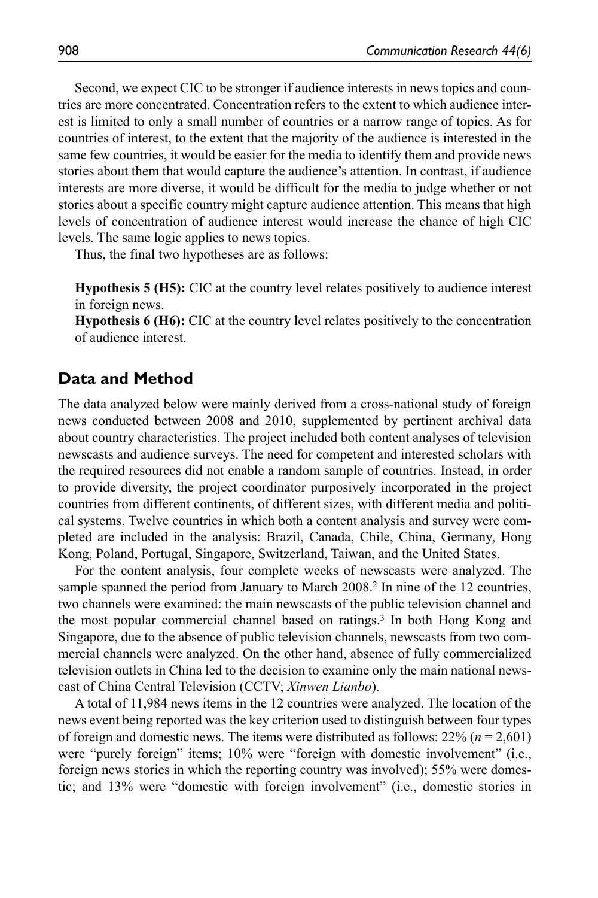Second, we expect CIC to be stronger if audience interests in news topics and countries are more concentrated. Concentration refers to the extent to which audience interest is limited to only a small number of countries or a narrow range of topics. As for countries of interest, to the extent that the majority of the audience is interested in the same few countries, it would be easier for the media to identify them and provide news stories about them that would capture the audience's attention. In contrast, if audience interests are more diverse, it would be difficult for the media to judge whether or not stories about a specific country might capture audience attention. This means that high levels of concentration of audience interest would increase the chance of high CIC levels. The same logic applies to news topics.

Thus, the final two hypotheses are as follows:

**Hypothesis 5 (H5):** CIC at the country level relates positively to audience interest in foreign news.

**Hypothesis 6 (H6):** CIC at the country level relates positively to the concentration of audience interest.

### **Data and Method**

The data analyzed below were mainly derived from a cross-national study of foreign news conducted between 2008 and 2010, supplemented by pertinent archival data about country characteristics. The project included both content analyses of television newscasts and audience surveys. The need for competent and interested scholars with the required resources did not enable a random sample of countries. Instead, in order to provide diversity, the project coordinator purposively incorporated in the project countries from different continents, of different sizes, with different media and political systems. Twelve countries in which both a content analysis and survey were completed are included in the analysis: Brazil, Canada, Chile, China, Germany, Hong Kong, Poland, Portugal, Singapore, Switzerland, Taiwan, and the United States.

For the content analysis, four complete weeks of newscasts were analyzed. The sample spanned the period from January to March 2008.<sup>2</sup> In nine of the 12 countries, two channels were examined: the main newscasts of the public television channel and the most popular commercial channel based on ratings.<sup>3</sup> In both Hong Kong and Singapore, due to the absence of public television channels, newscasts from two commercial channels were analyzed. On the other hand, absence of fully commercialized television outlets in China led to the decision to examine only the main national newscast of China Central Television (CCTV; *Xinwen Lianbo*).

A total of 11,984 news items in the 12 countries were analyzed. The location of the news event being reported was the key criterion used to distinguish between four types of foreign and domestic news. The items were distributed as follows:  $22\% (n = 2,601)$ were "purely foreign" items; 10% were "foreign with domestic involvement" (i.e., foreign news stories in which the reporting country was involved); 55% were domestic; and 13% were "domestic with foreign involvement" (i.e., domestic stories in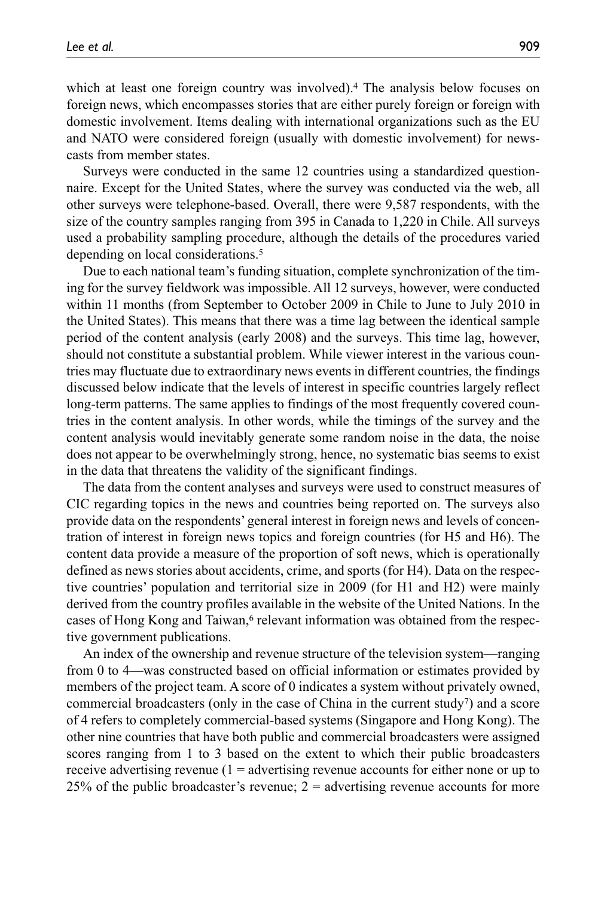which at least one foreign country was involved).<sup>4</sup> The analysis below focuses on foreign news, which encompasses stories that are either purely foreign or foreign with domestic involvement. Items dealing with international organizations such as the EU and NATO were considered foreign (usually with domestic involvement) for newscasts from member states.

Surveys were conducted in the same 12 countries using a standardized questionnaire. Except for the United States, where the survey was conducted via the web, all other surveys were telephone-based. Overall, there were 9,587 respondents, with the size of the country samples ranging from 395 in Canada to 1,220 in Chile. All surveys used a probability sampling procedure, although the details of the procedures varied depending on local considerations.<sup>5</sup>

Due to each national team's funding situation, complete synchronization of the timing for the survey fieldwork was impossible. All 12 surveys, however, were conducted within 11 months (from September to October 2009 in Chile to June to July 2010 in the United States). This means that there was a time lag between the identical sample period of the content analysis (early 2008) and the surveys. This time lag, however, should not constitute a substantial problem. While viewer interest in the various countries may fluctuate due to extraordinary news events in different countries, the findings discussed below indicate that the levels of interest in specific countries largely reflect long-term patterns. The same applies to findings of the most frequently covered countries in the content analysis. In other words, while the timings of the survey and the content analysis would inevitably generate some random noise in the data, the noise does not appear to be overwhelmingly strong, hence, no systematic bias seems to exist in the data that threatens the validity of the significant findings.

The data from the content analyses and surveys were used to construct measures of CIC regarding topics in the news and countries being reported on. The surveys also provide data on the respondents' general interest in foreign news and levels of concentration of interest in foreign news topics and foreign countries (for H5 and H6). The content data provide a measure of the proportion of soft news, which is operationally defined as news stories about accidents, crime, and sports (for H4). Data on the respective countries' population and territorial size in 2009 (for H1 and H2) were mainly derived from the country profiles available in the website of the United Nations. In the cases of Hong Kong and Taiwan,<sup>6</sup> relevant information was obtained from the respective government publications.

An index of the ownership and revenue structure of the television system—ranging from 0 to 4—was constructed based on official information or estimates provided by members of the project team. A score of 0 indicates a system without privately owned, commercial broadcasters (only in the case of China in the current study7) and a score of 4 refers to completely commercial-based systems (Singapore and Hong Kong). The other nine countries that have both public and commercial broadcasters were assigned scores ranging from 1 to 3 based on the extent to which their public broadcasters receive advertising revenue  $(1 =$  advertising revenue accounts for either none or up to 25% of the public broadcaster's revenue;  $2 =$  advertising revenue accounts for more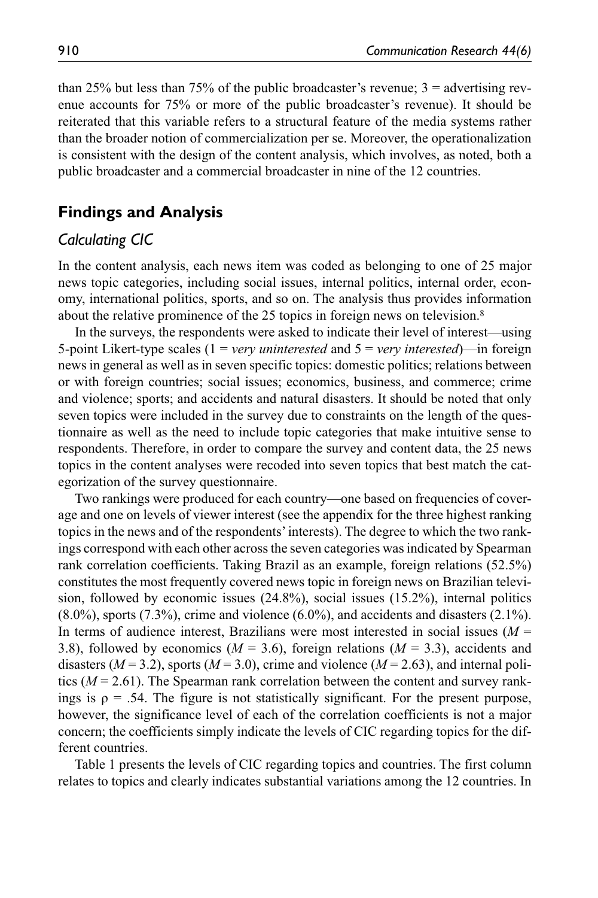than 25% but less than 75% of the public broadcaster's revenue;  $3 =$  advertising revenue accounts for 75% or more of the public broadcaster's revenue). It should be reiterated that this variable refers to a structural feature of the media systems rather than the broader notion of commercialization per se. Moreover, the operationalization is consistent with the design of the content analysis, which involves, as noted, both a public broadcaster and a commercial broadcaster in nine of the 12 countries.

# **Findings and Analysis**

### *Calculating CIC*

In the content analysis, each news item was coded as belonging to one of 25 major news topic categories, including social issues, internal politics, internal order, economy, international politics, sports, and so on. The analysis thus provides information about the relative prominence of the 25 topics in foreign news on television.<sup>8</sup>

In the surveys, the respondents were asked to indicate their level of interest—using 5-point Likert-type scales (1 = *very uninterested* and 5 = *very interested*)—in foreign news in general as well as in seven specific topics: domestic politics; relations between or with foreign countries; social issues; economics, business, and commerce; crime and violence; sports; and accidents and natural disasters. It should be noted that only seven topics were included in the survey due to constraints on the length of the questionnaire as well as the need to include topic categories that make intuitive sense to respondents. Therefore, in order to compare the survey and content data, the 25 news topics in the content analyses were recoded into seven topics that best match the categorization of the survey questionnaire.

Two rankings were produced for each country—one based on frequencies of coverage and one on levels of viewer interest (see the appendix for the three highest ranking topics in the news and of the respondents' interests). The degree to which the two rankings correspond with each other across the seven categories was indicated by Spearman rank correlation coefficients. Taking Brazil as an example, foreign relations (52.5%) constitutes the most frequently covered news topic in foreign news on Brazilian television, followed by economic issues (24.8%), social issues (15.2%), internal politics  $(8.0\%)$ , sports  $(7.3\%)$ , crime and violence  $(6.0\%)$ , and accidents and disasters  $(2.1\%)$ . In terms of audience interest, Brazilians were most interested in social issues  $(M =$ 3.8), followed by economics ( $M = 3.6$ ), foreign relations ( $M = 3.3$ ), accidents and disasters ( $M = 3.2$ ), sports ( $M = 3.0$ ), crime and violence ( $M = 2.63$ ), and internal politics  $(M = 2.61)$ . The Spearman rank correlation between the content and survey rankings is  $\rho = .54$ . The figure is not statistically significant. For the present purpose, however, the significance level of each of the correlation coefficients is not a major concern; the coefficients simply indicate the levels of CIC regarding topics for the different countries.

Table 1 presents the levels of CIC regarding topics and countries. The first column relates to topics and clearly indicates substantial variations among the 12 countries. In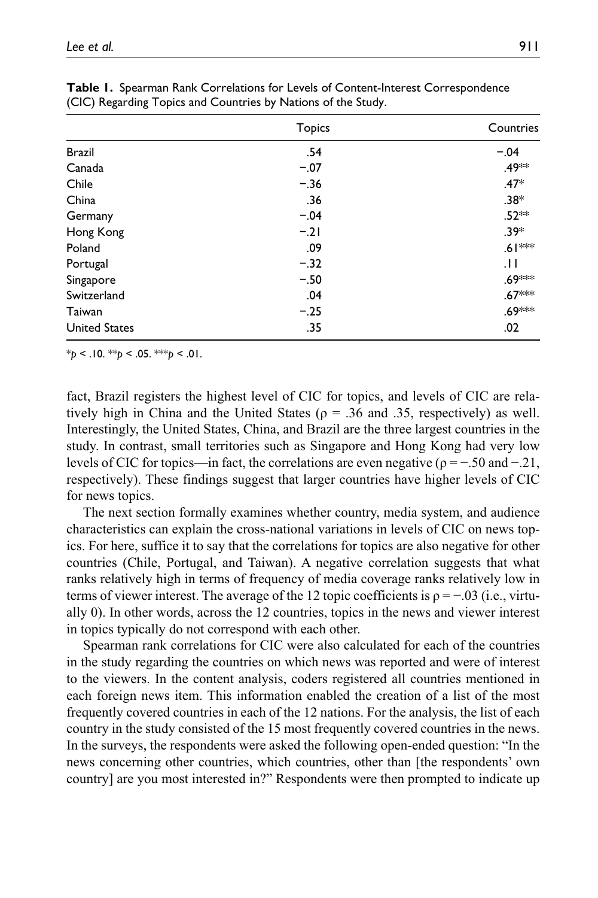|                      | <b>Topics</b> | Countries          |
|----------------------|---------------|--------------------|
| <b>Brazil</b>        | .54           | $-.04$             |
| Canada               | $-.07$        | .49 <sup>*</sup>   |
| Chile                | $-.36$        | $.47*$             |
| China                | .36           | $.38*$             |
| Germany              | $-.04$        | $.52**$            |
| Hong Kong            | $-.21$        | $.39*$             |
| Poland               | .09           | $.61***$           |
| Portugal             | $-.32$        | .11                |
| Singapore            | $-.50$        | .69 <sup>***</sup> |
| Switzerland          | .04           | $.67***$           |
| Taiwan               | $-.25$        | .69 <sup>***</sup> |
| <b>United States</b> | .35           | .02                |

**Table 1.** Spearman Rank Correlations for Levels of Content-Interest Correspondence (CIC) Regarding Topics and Countries by Nations of the Study.

\**p* < .10. \*\**p* < .05. \*\*\**p* < .01.

fact, Brazil registers the highest level of CIC for topics, and levels of CIC are relatively high in China and the United States ( $\rho = .36$  and .35, respectively) as well. Interestingly, the United States, China, and Brazil are the three largest countries in the study. In contrast, small territories such as Singapore and Hong Kong had very low levels of CIC for topics—in fact, the correlations are even negative ( $\rho = -0.50$  and  $-0.21$ , respectively). These findings suggest that larger countries have higher levels of CIC for news topics.

The next section formally examines whether country, media system, and audience characteristics can explain the cross-national variations in levels of CIC on news topics. For here, suffice it to say that the correlations for topics are also negative for other countries (Chile, Portugal, and Taiwan). A negative correlation suggests that what ranks relatively high in terms of frequency of media coverage ranks relatively low in terms of viewer interest. The average of the 12 topic coefficients is  $\rho = -0.03$  (i.e., virtually 0). In other words, across the 12 countries, topics in the news and viewer interest in topics typically do not correspond with each other.

Spearman rank correlations for CIC were also calculated for each of the countries in the study regarding the countries on which news was reported and were of interest to the viewers. In the content analysis, coders registered all countries mentioned in each foreign news item. This information enabled the creation of a list of the most frequently covered countries in each of the 12 nations. For the analysis, the list of each country in the study consisted of the 15 most frequently covered countries in the news. In the surveys, the respondents were asked the following open-ended question: "In the news concerning other countries, which countries, other than [the respondents' own country] are you most interested in?" Respondents were then prompted to indicate up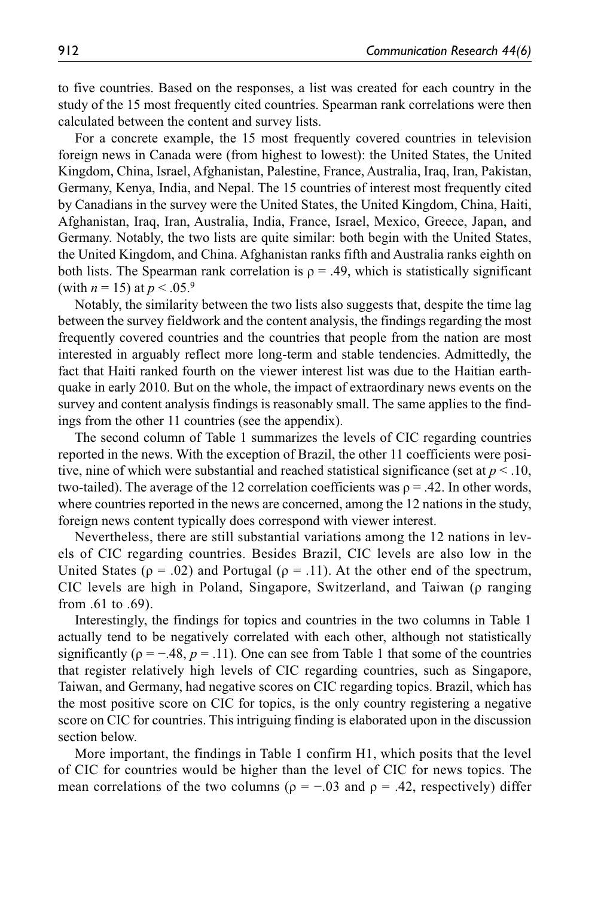to five countries. Based on the responses, a list was created for each country in the study of the 15 most frequently cited countries. Spearman rank correlations were then calculated between the content and survey lists.

For a concrete example, the 15 most frequently covered countries in television foreign news in Canada were (from highest to lowest): the United States, the United Kingdom, China, Israel, Afghanistan, Palestine, France, Australia, Iraq, Iran, Pakistan, Germany, Kenya, India, and Nepal. The 15 countries of interest most frequently cited by Canadians in the survey were the United States, the United Kingdom, China, Haiti, Afghanistan, Iraq, Iran, Australia, India, France, Israel, Mexico, Greece, Japan, and Germany. Notably, the two lists are quite similar: both begin with the United States, the United Kingdom, and China. Afghanistan ranks fifth and Australia ranks eighth on both lists. The Spearman rank correlation is  $\rho = .49$ , which is statistically significant (with  $n = 15$ ) at  $p < .05$ .<sup>9</sup>

Notably, the similarity between the two lists also suggests that, despite the time lag between the survey fieldwork and the content analysis, the findings regarding the most frequently covered countries and the countries that people from the nation are most interested in arguably reflect more long-term and stable tendencies. Admittedly, the fact that Haiti ranked fourth on the viewer interest list was due to the Haitian earthquake in early 2010. But on the whole, the impact of extraordinary news events on the survey and content analysis findings is reasonably small. The same applies to the findings from the other 11 countries (see the appendix).

The second column of Table 1 summarizes the levels of CIC regarding countries reported in the news. With the exception of Brazil, the other 11 coefficients were positive, nine of which were substantial and reached statistical significance (set at  $p < 0.10$ , two-tailed). The average of the 12 correlation coefficients was  $\rho = .42$ . In other words, where countries reported in the news are concerned, among the 12 nations in the study, foreign news content typically does correspond with viewer interest.

Nevertheless, there are still substantial variations among the 12 nations in levels of CIC regarding countries. Besides Brazil, CIC levels are also low in the United States ( $\rho = .02$ ) and Portugal ( $\rho = .11$ ). At the other end of the spectrum, CIC levels are high in Poland, Singapore, Switzerland, and Taiwan (ρ ranging from .61 to .69).

Interestingly, the findings for topics and countries in the two columns in Table 1 actually tend to be negatively correlated with each other, although not statistically significantly ( $\rho = -.48$ ,  $p = .11$ ). One can see from Table 1 that some of the countries that register relatively high levels of CIC regarding countries, such as Singapore, Taiwan, and Germany, had negative scores on CIC regarding topics. Brazil, which has the most positive score on CIC for topics, is the only country registering a negative score on CIC for countries. This intriguing finding is elaborated upon in the discussion section below.

More important, the findings in Table 1 confirm H1, which posits that the level of CIC for countries would be higher than the level of CIC for news topics. The mean correlations of the two columns ( $\rho = -0.03$  and  $\rho = 0.42$ , respectively) differ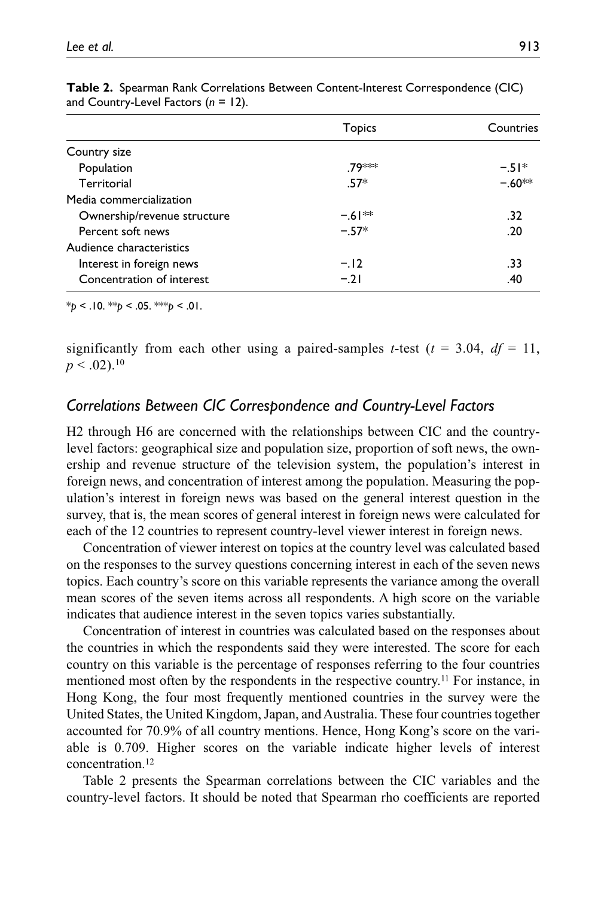|                             | <b>Topics</b> | Countries |
|-----------------------------|---------------|-----------|
| Country size                |               |           |
| Population                  | 79***         | $-.51*$   |
| Territorial                 | $.57*$        | $-.60**$  |
| Media commercialization     |               |           |
| Ownership/revenue structure | $-61**$       | .32       |
| Percent soft news           | $-57*$        | .20       |
| Audience characteristics    |               |           |
| Interest in foreign news    | $-12$         | .33       |
| Concentration of interest   | $-.21$        | .40       |

**Table 2.** Spearman Rank Correlations Between Content-Interest Correspondence (CIC) and Country-Level Factors (*n* = 12).

\**p* < .10. \*\**p* < .05. \*\*\**p* < .01.

significantly from each other using a paired-samples *t*-test ( $t = 3.04$ ,  $df = 11$ ,  $p < .02$ ).<sup>10</sup>

# *Correlations Between CIC Correspondence and Country-Level Factors*

H2 through H6 are concerned with the relationships between CIC and the countrylevel factors: geographical size and population size, proportion of soft news, the ownership and revenue structure of the television system, the population's interest in foreign news, and concentration of interest among the population. Measuring the population's interest in foreign news was based on the general interest question in the survey, that is, the mean scores of general interest in foreign news were calculated for each of the 12 countries to represent country-level viewer interest in foreign news.

Concentration of viewer interest on topics at the country level was calculated based on the responses to the survey questions concerning interest in each of the seven news topics. Each country's score on this variable represents the variance among the overall mean scores of the seven items across all respondents. A high score on the variable indicates that audience interest in the seven topics varies substantially.

Concentration of interest in countries was calculated based on the responses about the countries in which the respondents said they were interested. The score for each country on this variable is the percentage of responses referring to the four countries mentioned most often by the respondents in the respective country.11 For instance, in Hong Kong, the four most frequently mentioned countries in the survey were the United States, the United Kingdom, Japan, and Australia. These four countries together accounted for 70.9% of all country mentions. Hence, Hong Kong's score on the variable is 0.709. Higher scores on the variable indicate higher levels of interest concentration.12

Table 2 presents the Spearman correlations between the CIC variables and the country-level factors. It should be noted that Spearman rho coefficients are reported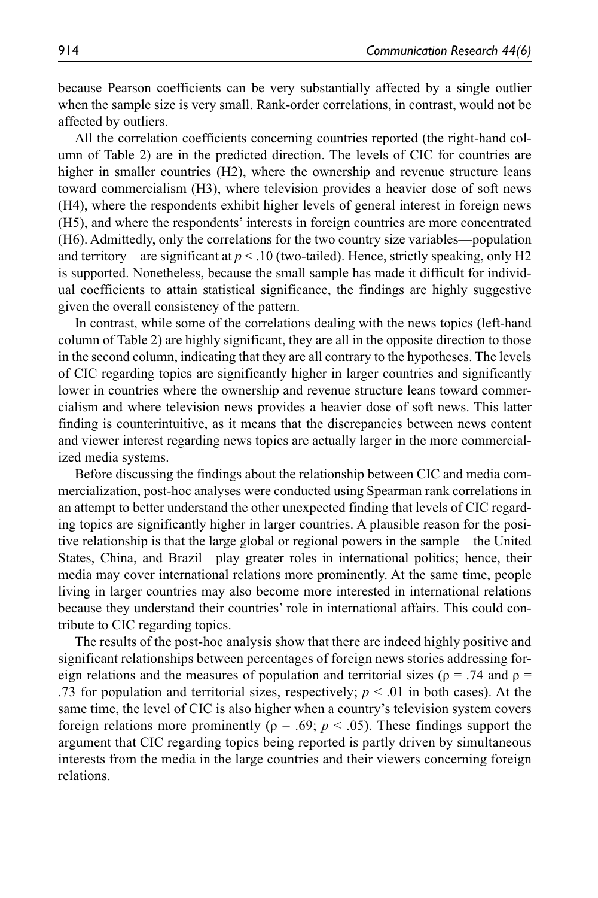because Pearson coefficients can be very substantially affected by a single outlier when the sample size is very small. Rank-order correlations, in contrast, would not be affected by outliers.

All the correlation coefficients concerning countries reported (the right-hand column of Table 2) are in the predicted direction. The levels of CIC for countries are higher in smaller countries (H2), where the ownership and revenue structure leans toward commercialism (H3), where television provides a heavier dose of soft news (H4), where the respondents exhibit higher levels of general interest in foreign news (H5), and where the respondents' interests in foreign countries are more concentrated (H6). Admittedly, only the correlations for the two country size variables—population and territory—are significant at  $p < 0.10$  (two-tailed). Hence, strictly speaking, only H2 is supported. Nonetheless, because the small sample has made it difficult for individual coefficients to attain statistical significance, the findings are highly suggestive given the overall consistency of the pattern.

In contrast, while some of the correlations dealing with the news topics (left-hand column of Table 2) are highly significant, they are all in the opposite direction to those in the second column, indicating that they are all contrary to the hypotheses. The levels of CIC regarding topics are significantly higher in larger countries and significantly lower in countries where the ownership and revenue structure leans toward commercialism and where television news provides a heavier dose of soft news. This latter finding is counterintuitive, as it means that the discrepancies between news content and viewer interest regarding news topics are actually larger in the more commercialized media systems.

Before discussing the findings about the relationship between CIC and media commercialization, post-hoc analyses were conducted using Spearman rank correlations in an attempt to better understand the other unexpected finding that levels of CIC regarding topics are significantly higher in larger countries. A plausible reason for the positive relationship is that the large global or regional powers in the sample—the United States, China, and Brazil—play greater roles in international politics; hence, their media may cover international relations more prominently. At the same time, people living in larger countries may also become more interested in international relations because they understand their countries' role in international affairs. This could contribute to CIC regarding topics.

The results of the post-hoc analysis show that there are indeed highly positive and significant relationships between percentages of foreign news stories addressing foreign relations and the measures of population and territorial sizes ( $\rho = .74$  and  $\rho =$ .73 for population and territorial sizes, respectively;  $p < .01$  in both cases). At the same time, the level of CIC is also higher when a country's television system covers foreign relations more prominently ( $\rho = .69$ ;  $p < .05$ ). These findings support the argument that CIC regarding topics being reported is partly driven by simultaneous interests from the media in the large countries and their viewers concerning foreign relations.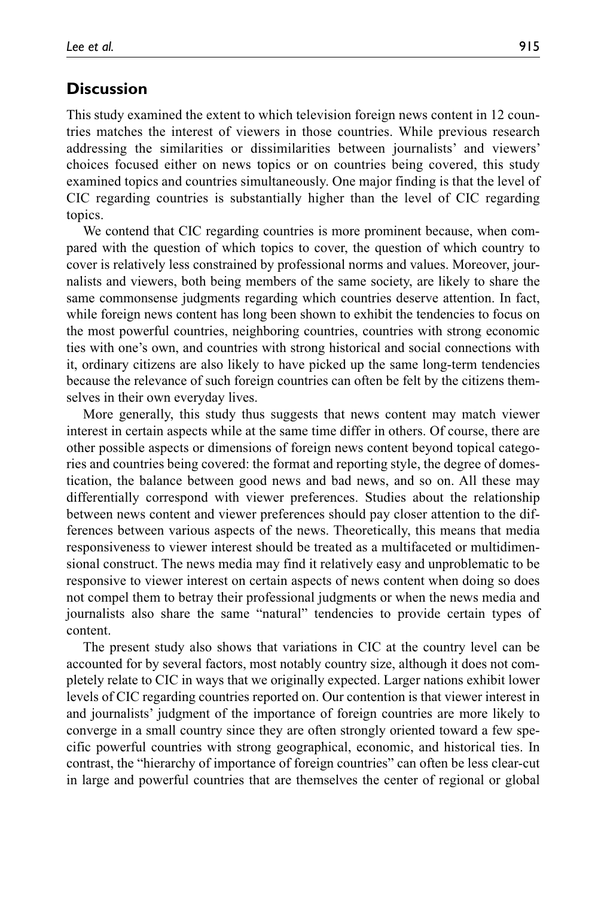# **Discussion**

This study examined the extent to which television foreign news content in 12 countries matches the interest of viewers in those countries. While previous research addressing the similarities or dissimilarities between journalists' and viewers' choices focused either on news topics or on countries being covered, this study examined topics and countries simultaneously. One major finding is that the level of CIC regarding countries is substantially higher than the level of CIC regarding topics.

We contend that CIC regarding countries is more prominent because, when compared with the question of which topics to cover, the question of which country to cover is relatively less constrained by professional norms and values. Moreover, journalists and viewers, both being members of the same society, are likely to share the same commonsense judgments regarding which countries deserve attention. In fact, while foreign news content has long been shown to exhibit the tendencies to focus on the most powerful countries, neighboring countries, countries with strong economic ties with one's own, and countries with strong historical and social connections with it, ordinary citizens are also likely to have picked up the same long-term tendencies because the relevance of such foreign countries can often be felt by the citizens themselves in their own everyday lives.

More generally, this study thus suggests that news content may match viewer interest in certain aspects while at the same time differ in others. Of course, there are other possible aspects or dimensions of foreign news content beyond topical categories and countries being covered: the format and reporting style, the degree of domestication, the balance between good news and bad news, and so on. All these may differentially correspond with viewer preferences. Studies about the relationship between news content and viewer preferences should pay closer attention to the differences between various aspects of the news. Theoretically, this means that media responsiveness to viewer interest should be treated as a multifaceted or multidimensional construct. The news media may find it relatively easy and unproblematic to be responsive to viewer interest on certain aspects of news content when doing so does not compel them to betray their professional judgments or when the news media and journalists also share the same "natural" tendencies to provide certain types of content.

The present study also shows that variations in CIC at the country level can be accounted for by several factors, most notably country size, although it does not completely relate to CIC in ways that we originally expected. Larger nations exhibit lower levels of CIC regarding countries reported on. Our contention is that viewer interest in and journalists' judgment of the importance of foreign countries are more likely to converge in a small country since they are often strongly oriented toward a few specific powerful countries with strong geographical, economic, and historical ties. In contrast, the "hierarchy of importance of foreign countries" can often be less clear-cut in large and powerful countries that are themselves the center of regional or global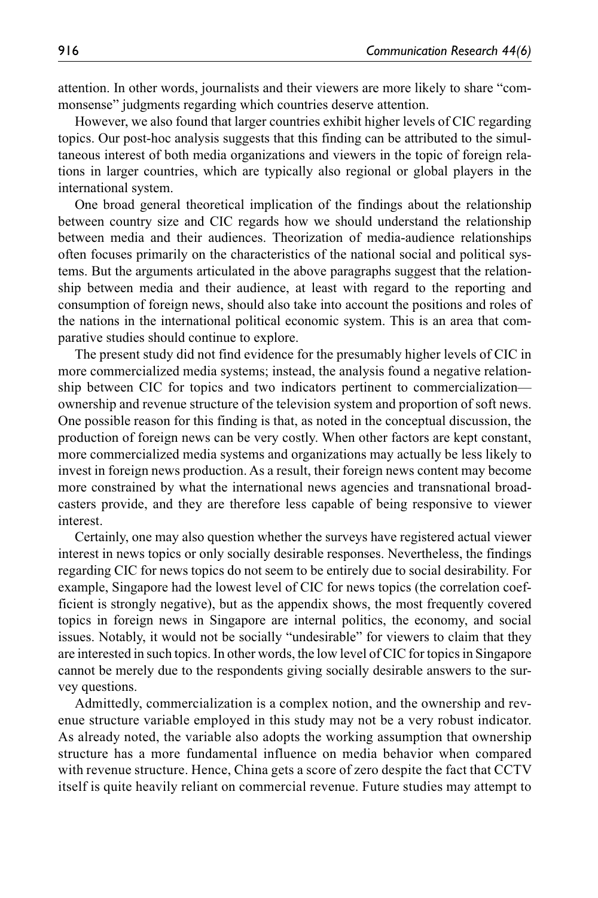attention. In other words, journalists and their viewers are more likely to share "commonsense" judgments regarding which countries deserve attention.

However, we also found that larger countries exhibit higher levels of CIC regarding topics. Our post-hoc analysis suggests that this finding can be attributed to the simultaneous interest of both media organizations and viewers in the topic of foreign relations in larger countries, which are typically also regional or global players in the international system.

One broad general theoretical implication of the findings about the relationship between country size and CIC regards how we should understand the relationship between media and their audiences. Theorization of media-audience relationships often focuses primarily on the characteristics of the national social and political systems. But the arguments articulated in the above paragraphs suggest that the relationship between media and their audience, at least with regard to the reporting and consumption of foreign news, should also take into account the positions and roles of the nations in the international political economic system. This is an area that comparative studies should continue to explore.

The present study did not find evidence for the presumably higher levels of CIC in more commercialized media systems; instead, the analysis found a negative relationship between CIC for topics and two indicators pertinent to commercialization ownership and revenue structure of the television system and proportion of soft news. One possible reason for this finding is that, as noted in the conceptual discussion, the production of foreign news can be very costly. When other factors are kept constant, more commercialized media systems and organizations may actually be less likely to invest in foreign news production. As a result, their foreign news content may become more constrained by what the international news agencies and transnational broadcasters provide, and they are therefore less capable of being responsive to viewer interest.

Certainly, one may also question whether the surveys have registered actual viewer interest in news topics or only socially desirable responses. Nevertheless, the findings regarding CIC for news topics do not seem to be entirely due to social desirability. For example, Singapore had the lowest level of CIC for news topics (the correlation coefficient is strongly negative), but as the appendix shows, the most frequently covered topics in foreign news in Singapore are internal politics, the economy, and social issues. Notably, it would not be socially "undesirable" for viewers to claim that they are interested in such topics. In other words, the low level of CIC for topics in Singapore cannot be merely due to the respondents giving socially desirable answers to the survey questions.

Admittedly, commercialization is a complex notion, and the ownership and revenue structure variable employed in this study may not be a very robust indicator. As already noted, the variable also adopts the working assumption that ownership structure has a more fundamental influence on media behavior when compared with revenue structure. Hence, China gets a score of zero despite the fact that CCTV itself is quite heavily reliant on commercial revenue. Future studies may attempt to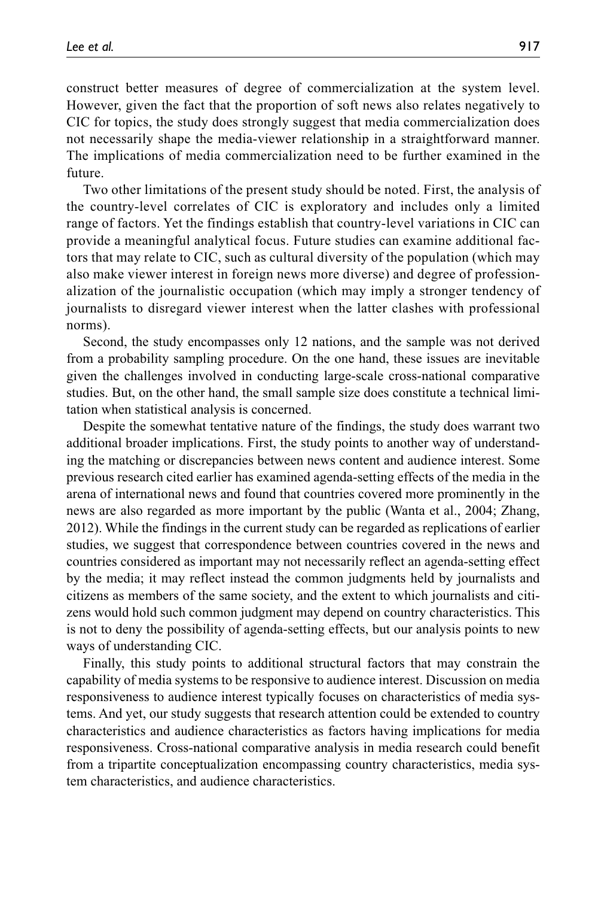construct better measures of degree of commercialization at the system level. However, given the fact that the proportion of soft news also relates negatively to CIC for topics, the study does strongly suggest that media commercialization does not necessarily shape the media-viewer relationship in a straightforward manner. The implications of media commercialization need to be further examined in the future.

Two other limitations of the present study should be noted. First, the analysis of the country-level correlates of CIC is exploratory and includes only a limited range of factors. Yet the findings establish that country-level variations in CIC can provide a meaningful analytical focus. Future studies can examine additional factors that may relate to CIC, such as cultural diversity of the population (which may also make viewer interest in foreign news more diverse) and degree of professionalization of the journalistic occupation (which may imply a stronger tendency of journalists to disregard viewer interest when the latter clashes with professional norms).

Second, the study encompasses only 12 nations, and the sample was not derived from a probability sampling procedure. On the one hand, these issues are inevitable given the challenges involved in conducting large-scale cross-national comparative studies. But, on the other hand, the small sample size does constitute a technical limitation when statistical analysis is concerned.

Despite the somewhat tentative nature of the findings, the study does warrant two additional broader implications. First, the study points to another way of understanding the matching or discrepancies between news content and audience interest. Some previous research cited earlier has examined agenda-setting effects of the media in the arena of international news and found that countries covered more prominently in the news are also regarded as more important by the public (Wanta et al., 2004; Zhang, 2012). While the findings in the current study can be regarded as replications of earlier studies, we suggest that correspondence between countries covered in the news and countries considered as important may not necessarily reflect an agenda-setting effect by the media; it may reflect instead the common judgments held by journalists and citizens as members of the same society, and the extent to which journalists and citizens would hold such common judgment may depend on country characteristics. This is not to deny the possibility of agenda-setting effects, but our analysis points to new ways of understanding CIC.

Finally, this study points to additional structural factors that may constrain the capability of media systems to be responsive to audience interest. Discussion on media responsiveness to audience interest typically focuses on characteristics of media systems. And yet, our study suggests that research attention could be extended to country characteristics and audience characteristics as factors having implications for media responsiveness. Cross-national comparative analysis in media research could benefit from a tripartite conceptualization encompassing country characteristics, media system characteristics, and audience characteristics.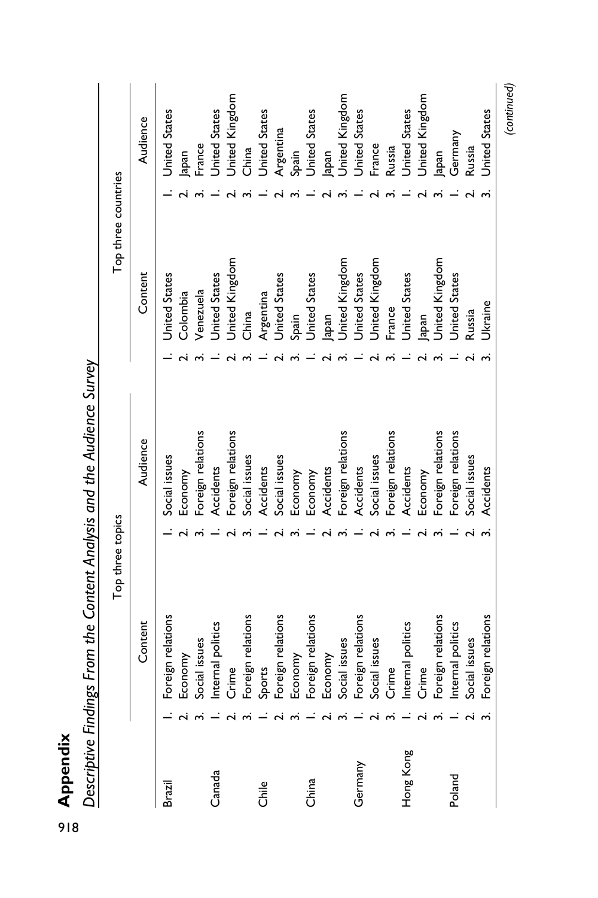| s |
|---|

*Descriptive Findings From the Content Analysis and the Audience Survey* Descriptive Findings From the Content Analysis and the Audience Survey

United Kingdom 2. Crime 2. Foreign relations 2. United Kingdom 2. United Kingdom United Kingdom 3. Social issues 3. Foreign relations 3. United Kingdom 3. United Kingdom United Kingdom 2. Crime 2. Economy 2. Japan 2. United Kingdom **United States United States United States United States United States Jnited States United States** Brazil 1. Poreign relations relations 1. United States 1. United States 1. United States Canada 1. Internal politics 1. Accidents 1. Accidents 1. United States 1. United States Chile 1. Sports 1. Accidents 1. Argentina 1. United States China 1. Foreign relations relations 1. Economy 1. United States 1. United States Germany 1. Foreign relations Accidents 1. Accidents 1. United States 1. United States Hong Kong 1. Internal politics 1. Accidents 1. Accidents 1. United States 1. United States 3. Foreign relations 3. Accidents 3. Ukraine 3. United States Audience Content Audience Content Audience Argentina 2. Foreign relations 2. Social issues 2. United States 2. Argentina Germany Poland 1. Internal politics 1. Internal politics 1. Internal politics 1. United States 1. United States 1. France France Russia China 3. Social issues 3. Foreign relations 3. Venezuela 3. France Spain apan 2. Social issues 2. Social issues 2. United Kingdom 2. France apan Russia apan 3. Crime 3. Foreign relations 3. France 3. Russia 2. Social issues 2. Social issues 2. Russia 2. Russia 3. Foreign relations 3. Social issues 3. China 3. China 2. Economy 2. Economy 2. Colombia 2. Japan 3. Economy 5. Economy 3. Spain 3. Spain 3. Spain 2. Economy 2. Accidents 2. Japan 2. Japan 3. Foreign relations 3. Foreign relations 3. United Kingdom 3. Japan Top three countries Top three topics  $\blacksquare$ United Kingdom United Kingdom United Kingdom **Jnited Kingdom** Content United States **United States** United States United States **United States United States** United States Venezuela Argentina Colombia Jkraine France China Russia Spain lapan lapan Foreign relations Foreign relations Foreign relations Foreign relations Foreign relations Foreign relations Audience Social issues Social issues Social issues Social issues Social issues Accidents Accidents Accidents Accidents Accidents Accidents Economy Economy Economy Economy Top three topics Foreign relations Foreign relations Foreign relations Foreign relations Foreign relations Foreign relations Foreign relations Content nternal politics nternal politics Internal politics Social issues Social issues Social issues Social issues Economy Economy Economy Crime Sports Crime Crime Hong Kong Germany Canada Poland China Brazil Chile

*(continued)*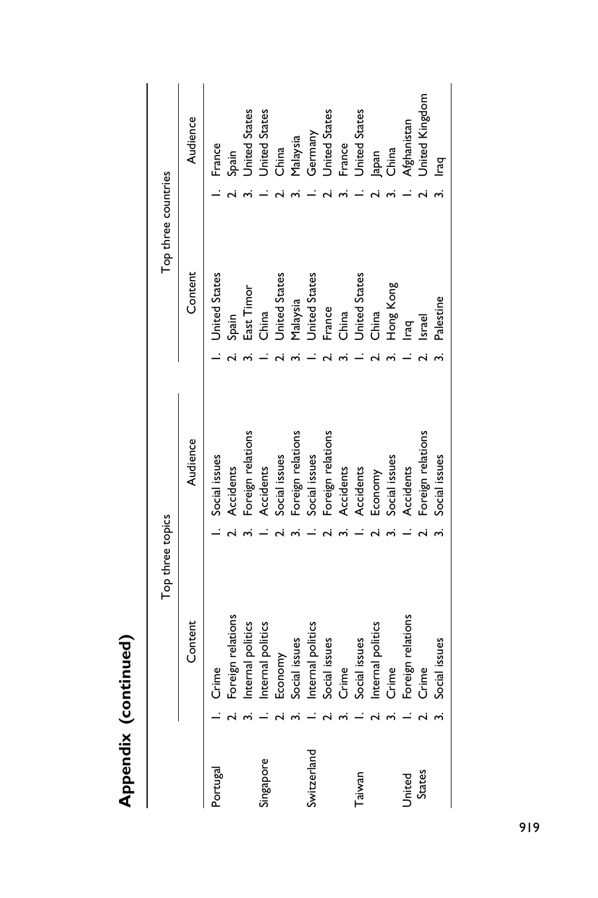|             | Top three topics  |                   | Top three countries  |                        |
|-------------|-------------------|-------------------|----------------------|------------------------|
|             | Content           | Audience          | Content              | Audience               |
| ortugal     | Crime             | Social issues     | <b>United States</b> | France                 |
|             | Foreign relations | Accidents         |                      |                        |
|             | Internal politics | Foreign relations | Spain<br>East Timor  | Spain<br>United States |
| ingapore    | Internal politics | Accidents         | China                | <b>United States</b>   |
|             | Economy           | Social issues     | <b>Jnited States</b> | China                  |
|             | Social issues     | Foreign relations | Malaysia             | Malaysia               |
| Switzerland | Internal politics | Social issues     | <b>United States</b> | Germany                |
|             | Social issues     | Foreign relations | France               | <b>United States</b>   |
|             | Crime             | Accidents         | China                | France                 |
| aiwan       | Social issues     | Accidents         | <b>Jnited States</b> | <b>Jnited States</b>   |
|             | Internal politics | Economy           | China                | Japan                  |
|             | Crime             | Social issues     | Hong Kong            | China                  |
| Inited      | Foreign relations | Accidents         | <u>raq</u>           | Afghanistan            |
| States      | Crime             | Foreign relations | Israel               | United Kingdom         |
|             | Social issues     | Social issues     | Palestine            | <u>raq</u>             |

| ۱ |
|---|
|   |
|   |
|   |
|   |
|   |
|   |
|   |
|   |
|   |
|   |
|   |
|   |
|   |
|   |
|   |
|   |
|   |
|   |
|   |
|   |
|   |
|   |
|   |
|   |
|   |
|   |
| ì |
|   |
|   |
|   |
|   |
|   |
| ī |
|   |
|   |
|   |
|   |
|   |
|   |
|   |
|   |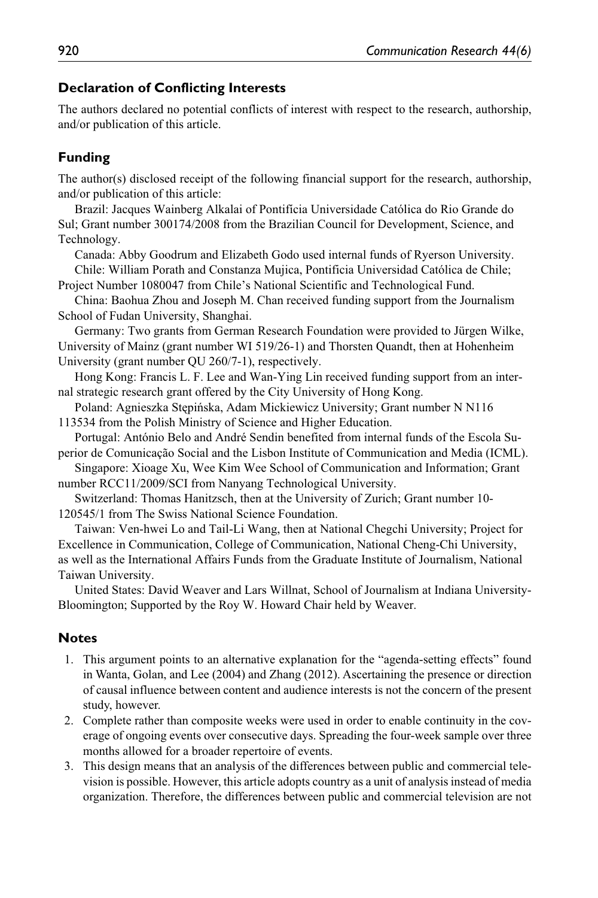#### **Declaration of Conflicting Interests**

The authors declared no potential conflicts of interest with respect to the research, authorship, and/or publication of this article.

### **Funding**

The author(s) disclosed receipt of the following financial support for the research, authorship, and/or publication of this article:

Brazil: Jacques Wainberg Alkalai of Pontifícia Universidade Católica do Rio Grande do Sul; Grant number 300174/2008 from the Brazilian Council for Development, Science, and Technology.

Canada: Abby Goodrum and Elizabeth Godo used internal funds of Ryerson University. Chile: William Porath and Constanza Mujica, Pontificia Universidad Católica de Chile; Project Number 1080047 from Chile's National Scientific and Technological Fund.

China: Baohua Zhou and Joseph M. Chan received funding support from the Journalism School of Fudan University, Shanghai.

Germany: Two grants from German Research Foundation were provided to Jürgen Wilke, University of Mainz (grant number WI 519/26-1) and Thorsten Quandt, then at Hohenheim University (grant number QU 260/7-1), respectively.

Hong Kong: Francis L. F. Lee and Wan-Ying Lin received funding support from an internal strategic research grant offered by the City University of Hong Kong.

Poland: Agnieszka Stępińska, Adam Mickiewicz University; Grant number N N116 113534 from the Polish Ministry of Science and Higher Education.

Portugal: António Belo and André Sendin benefited from internal funds of the Escola Superior de Comunicação Social and the Lisbon Institute of Communication and Media (ICML).

Singapore: Xioage Xu, Wee Kim Wee School of Communication and Information; Grant number RCC11/2009/SCI from Nanyang Technological University.

Switzerland: Thomas Hanitzsch, then at the University of Zurich; Grant number 10- 120545/1 from The Swiss National Science Foundation.

Taiwan: Ven-hwei Lo and Tail-Li Wang, then at National Chegchi University; Project for Excellence in Communication, College of Communication, National Cheng-Chi University, as well as the International Affairs Funds from the Graduate Institute of Journalism, National Taiwan University.

United States: David Weaver and Lars Willnat, School of Journalism at Indiana University-Bloomington; Supported by the Roy W. Howard Chair held by Weaver.

#### **Notes**

- 1. This argument points to an alternative explanation for the "agenda-setting effects" found in Wanta, Golan, and Lee (2004) and Zhang (2012). Ascertaining the presence or direction of causal influence between content and audience interests is not the concern of the present study, however.
- 2. Complete rather than composite weeks were used in order to enable continuity in the coverage of ongoing events over consecutive days. Spreading the four-week sample over three months allowed for a broader repertoire of events.
- 3. This design means that an analysis of the differences between public and commercial television is possible. However, this article adopts country as a unit of analysis instead of media organization. Therefore, the differences between public and commercial television are not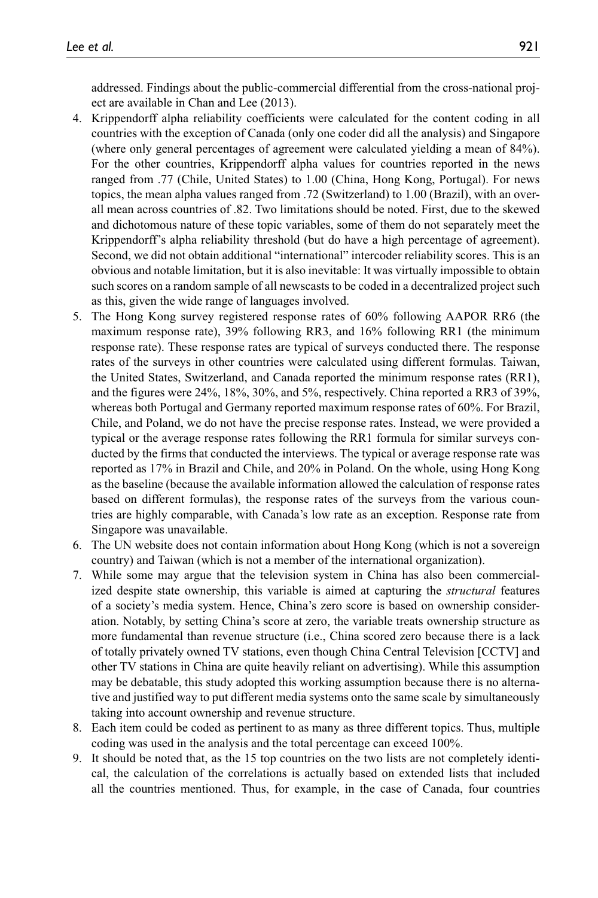addressed. Findings about the public-commercial differential from the cross-national project are available in Chan and Lee (2013).

- 4. Krippendorff alpha reliability coefficients were calculated for the content coding in all countries with the exception of Canada (only one coder did all the analysis) and Singapore (where only general percentages of agreement were calculated yielding a mean of 84%). For the other countries, Krippendorff alpha values for countries reported in the news ranged from .77 (Chile, United States) to 1.00 (China, Hong Kong, Portugal). For news topics, the mean alpha values ranged from .72 (Switzerland) to 1.00 (Brazil), with an overall mean across countries of .82. Two limitations should be noted. First, due to the skewed and dichotomous nature of these topic variables, some of them do not separately meet the Krippendorff's alpha reliability threshold (but do have a high percentage of agreement). Second, we did not obtain additional "international" intercoder reliability scores. This is an obvious and notable limitation, but it is also inevitable: It was virtually impossible to obtain such scores on a random sample of all newscasts to be coded in a decentralized project such as this, given the wide range of languages involved.
- 5. The Hong Kong survey registered response rates of 60% following AAPOR RR6 (the maximum response rate), 39% following RR3, and 16% following RR1 (the minimum response rate). These response rates are typical of surveys conducted there. The response rates of the surveys in other countries were calculated using different formulas. Taiwan, the United States, Switzerland, and Canada reported the minimum response rates (RR1), and the figures were 24%, 18%, 30%, and 5%, respectively. China reported a RR3 of 39%, whereas both Portugal and Germany reported maximum response rates of 60%. For Brazil, Chile, and Poland, we do not have the precise response rates. Instead, we were provided a typical or the average response rates following the RR1 formula for similar surveys conducted by the firms that conducted the interviews. The typical or average response rate was reported as 17% in Brazil and Chile, and 20% in Poland. On the whole, using Hong Kong as the baseline (because the available information allowed the calculation of response rates based on different formulas), the response rates of the surveys from the various countries are highly comparable, with Canada's low rate as an exception. Response rate from Singapore was unavailable.
- 6. The UN website does not contain information about Hong Kong (which is not a sovereign country) and Taiwan (which is not a member of the international organization).
- 7. While some may argue that the television system in China has also been commercialized despite state ownership, this variable is aimed at capturing the *structural* features of a society's media system. Hence, China's zero score is based on ownership consideration. Notably, by setting China's score at zero, the variable treats ownership structure as more fundamental than revenue structure (i.e., China scored zero because there is a lack of totally privately owned TV stations, even though China Central Television [CCTV] and other TV stations in China are quite heavily reliant on advertising). While this assumption may be debatable, this study adopted this working assumption because there is no alternative and justified way to put different media systems onto the same scale by simultaneously taking into account ownership and revenue structure.
- 8. Each item could be coded as pertinent to as many as three different topics. Thus, multiple coding was used in the analysis and the total percentage can exceed 100%.
- 9. It should be noted that, as the 15 top countries on the two lists are not completely identical, the calculation of the correlations is actually based on extended lists that included all the countries mentioned. Thus, for example, in the case of Canada, four countries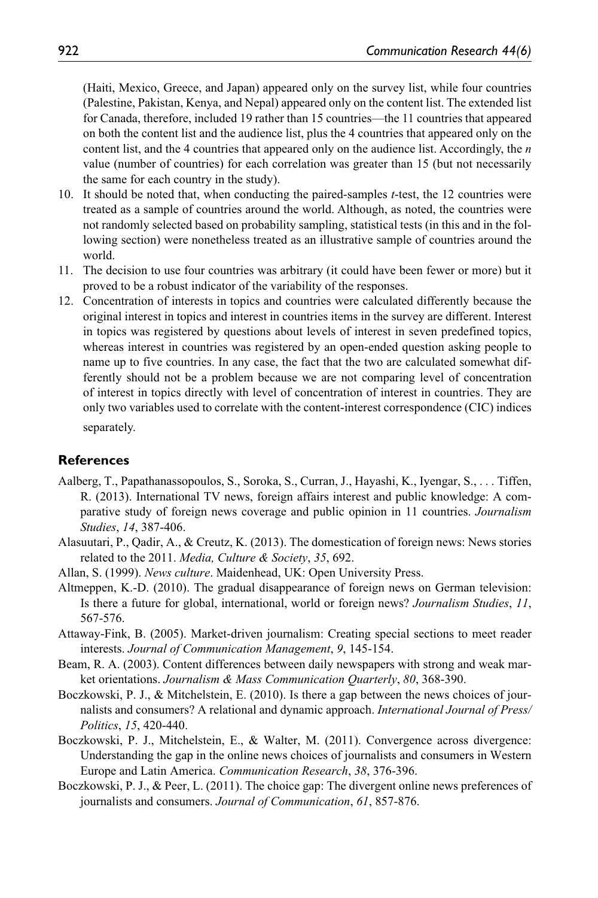(Haiti, Mexico, Greece, and Japan) appeared only on the survey list, while four countries (Palestine, Pakistan, Kenya, and Nepal) appeared only on the content list. The extended list for Canada, therefore, included 19 rather than 15 countries—the 11 countries that appeared on both the content list and the audience list, plus the 4 countries that appeared only on the content list, and the 4 countries that appeared only on the audience list. Accordingly, the *n* value (number of countries) for each correlation was greater than 15 (but not necessarily the same for each country in the study).

- 10. It should be noted that, when conducting the paired-samples *t*-test, the 12 countries were treated as a sample of countries around the world. Although, as noted, the countries were not randomly selected based on probability sampling, statistical tests (in this and in the following section) were nonetheless treated as an illustrative sample of countries around the world.
- 11. The decision to use four countries was arbitrary (it could have been fewer or more) but it proved to be a robust indicator of the variability of the responses.
- 12. Concentration of interests in topics and countries were calculated differently because the original interest in topics and interest in countries items in the survey are different. Interest in topics was registered by questions about levels of interest in seven predefined topics, whereas interest in countries was registered by an open-ended question asking people to name up to five countries. In any case, the fact that the two are calculated somewhat differently should not be a problem because we are not comparing level of concentration of interest in topics directly with level of concentration of interest in countries. They are only two variables used to correlate with the content-interest correspondence (CIC) indices

separately.

#### **References**

- Aalberg, T., Papathanassopoulos, S., Soroka, S., Curran, J., Hayashi, K., Iyengar, S., . . . Tiffen, R. (2013). International TV news, foreign affairs interest and public knowledge: A comparative study of foreign news coverage and public opinion in 11 countries. *Journalism Studies*, *14*, 387-406.
- Alasuutari, P., Qadir, A., & Creutz, K. (2013). The domestication of foreign news: News stories related to the 2011. *Media, Culture & Society*, *35*, 692.
- Allan, S. (1999). *News culture*. Maidenhead, UK: Open University Press.
- Altmeppen, K.-D. (2010). The gradual disappearance of foreign news on German television: Is there a future for global, international, world or foreign news? *Journalism Studies*, *11*, 567-576.
- Attaway-Fink, B. (2005). Market-driven journalism: Creating special sections to meet reader interests. *Journal of Communication Management*, *9*, 145-154.
- Beam, R. A. (2003). Content differences between daily newspapers with strong and weak market orientations. *Journalism & Mass Communication Quarterly*, *80*, 368-390.
- Boczkowski, P. J., & Mitchelstein, E. (2010). Is there a gap between the news choices of journalists and consumers? A relational and dynamic approach. *International Journal of Press/ Politics*, *15*, 420-440.
- Boczkowski, P. J., Mitchelstein, E., & Walter, M. (2011). Convergence across divergence: Understanding the gap in the online news choices of journalists and consumers in Western Europe and Latin America. *Communication Research*, *38*, 376-396.
- Boczkowski, P. J., & Peer, L. (2011). The choice gap: The divergent online news preferences of journalists and consumers. *Journal of Communication*, *61*, 857-876.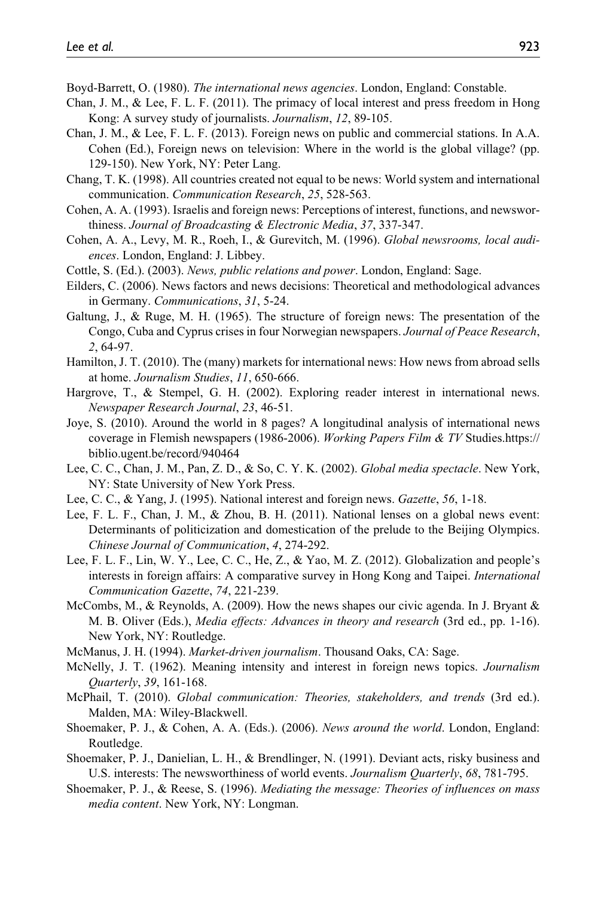Boyd-Barrett, O. (1980). *The international news agencies*. London, England: Constable.

- Chan, J. M., & Lee, F. L. F. (2011). The primacy of local interest and press freedom in Hong Kong: A survey study of journalists. *Journalism*, *12*, 89-105.
- Chan, J. M., & Lee, F. L. F. (2013). Foreign news on public and commercial stations. In A.A. Cohen (Ed.), Foreign news on television: Where in the world is the global village? (pp. 129-150). New York, NY: Peter Lang.
- Chang, T. K. (1998). All countries created not equal to be news: World system and international communication. *Communication Research*, *25*, 528-563.
- Cohen, A. A. (1993). Israelis and foreign news: Perceptions of interest, functions, and newsworthiness. *Journal of Broadcasting & Electronic Media*, *37*, 337-347.
- Cohen, A. A., Levy, M. R., Roeh, I., & Gurevitch, M. (1996). *Global newsrooms, local audiences*. London, England: J. Libbey.
- Cottle, S. (Ed.). (2003). *News, public relations and power*. London, England: Sage.
- Eilders, C. (2006). News factors and news decisions: Theoretical and methodological advances in Germany. *Communications*, *31*, 5-24.
- Galtung, J., & Ruge, M. H. (1965). The structure of foreign news: The presentation of the Congo, Cuba and Cyprus crises in four Norwegian newspapers. *Journal of Peace Research*, *2*, 64-97.
- Hamilton, J. T. (2010). The (many) markets for international news: How news from abroad sells at home. *Journalism Studies*, *11*, 650-666.
- Hargrove, T., & Stempel, G. H. (2002). Exploring reader interest in international news. *Newspaper Research Journal*, *23*, 46-51.
- Joye, S. (2010). Around the world in 8 pages? A longitudinal analysis of international news coverage in Flemish newspapers (1986-2006). *Working Papers Film & TV* Studies.[https://](https://biblio.ugent.be/record/940464) [biblio.ugent.be/record/940464](https://biblio.ugent.be/record/940464)
- Lee, C. C., Chan, J. M., Pan, Z. D., & So, C. Y. K. (2002). *Global media spectacle*. New York, NY: State University of New York Press.
- Lee, C. C., & Yang, J. (1995). National interest and foreign news. *Gazette*, *56*, 1-18.
- Lee, F. L. F., Chan, J. M., & Zhou, B. H. (2011). National lenses on a global news event: Determinants of politicization and domestication of the prelude to the Beijing Olympics. *Chinese Journal of Communication*, *4*, 274-292.
- Lee, F. L. F., Lin, W. Y., Lee, C. C., He, Z., & Yao, M. Z. (2012). Globalization and people's interests in foreign affairs: A comparative survey in Hong Kong and Taipei. *International Communication Gazette*, *74*, 221-239.
- McCombs, M., & Reynolds, A. (2009). How the news shapes our civic agenda. In J. Bryant  $\&$ M. B. Oliver (Eds.), *Media effects: Advances in theory and research* (3rd ed., pp. 1-16). New York, NY: Routledge.
- McManus, J. H. (1994). *Market-driven journalism*. Thousand Oaks, CA: Sage.
- McNelly, J. T. (1962). Meaning intensity and interest in foreign news topics. *Journalism Quarterly*, *39*, 161-168.
- McPhail, T. (2010). *Global communication: Theories, stakeholders, and trends* (3rd ed.). Malden, MA: Wiley-Blackwell.
- Shoemaker, P. J., & Cohen, A. A. (Eds.). (2006). *News around the world*. London, England: Routledge.
- Shoemaker, P. J., Danielian, L. H., & Brendlinger, N. (1991). Deviant acts, risky business and U.S. interests: The newsworthiness of world events. *Journalism Quarterly*, *68*, 781-795.
- Shoemaker, P. J., & Reese, S. (1996). *Mediating the message: Theories of influences on mass media content*. New York, NY: Longman.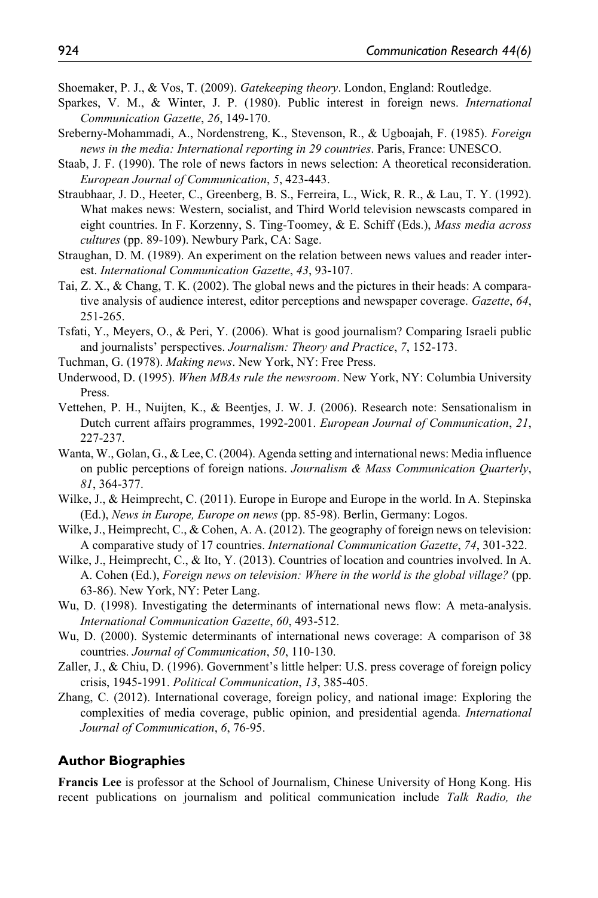Shoemaker, P. J., & Vos, T. (2009). *Gatekeeping theory*. London, England: Routledge.

- Sparkes, V. M., & Winter, J. P. (1980). Public interest in foreign news. *International Communication Gazette*, *26*, 149-170.
- Sreberny-Mohammadi, A., Nordenstreng, K., Stevenson, R., & Ugboajah, F. (1985). *Foreign news in the media: International reporting in 29 countries*. Paris, France: UNESCO.
- Staab, J. F. (1990). The role of news factors in news selection: A theoretical reconsideration. *European Journal of Communication*, *5*, 423-443.
- Straubhaar, J. D., Heeter, C., Greenberg, B. S., Ferreira, L., Wick, R. R., & Lau, T. Y. (1992). What makes news: Western, socialist, and Third World television newscasts compared in eight countries. In F. Korzenny, S. Ting-Toomey, & E. Schiff (Eds.), *Mass media across cultures* (pp. 89-109). Newbury Park, CA: Sage.
- Straughan, D. M. (1989). An experiment on the relation between news values and reader interest. *International Communication Gazette*, *43*, 93-107.
- Tai, Z. X., & Chang, T. K. (2002). The global news and the pictures in their heads: A comparative analysis of audience interest, editor perceptions and newspaper coverage. *Gazette*, *64*, 251-265.
- Tsfati, Y., Meyers, O., & Peri, Y. (2006). What is good journalism? Comparing Israeli public and journalists' perspectives. *Journalism: Theory and Practice*, *7*, 152-173.
- Tuchman, G. (1978). *Making news*. New York, NY: Free Press.
- Underwood, D. (1995). *When MBAs rule the newsroom*. New York, NY: Columbia University Press.
- Vettehen, P. H., Nuijten, K., & Beentjes, J. W. J. (2006). Research note: Sensationalism in Dutch current affairs programmes, 1992-2001. *European Journal of Communication*, *21*, 227-237.
- Wanta, W., Golan, G., & Lee, C. (2004). Agenda setting and international news: Media influence on public perceptions of foreign nations. *Journalism & Mass Communication Quarterly*, *81*, 364-377.
- Wilke, J., & Heimprecht, C. (2011). Europe in Europe and Europe in the world. In A. Stepinska (Ed.), *News in Europe, Europe on news* (pp. 85-98). Berlin, Germany: Logos.
- Wilke, J., Heimprecht, C., & Cohen, A. A. (2012). The geography of foreign news on television: A comparative study of 17 countries. *International Communication Gazette*, *74*, 301-322.
- Wilke, J., Heimprecht, C., & Ito, Y. (2013). Countries of location and countries involved. In A. A. Cohen (Ed.), *Foreign news on television: Where in the world is the global village?* (pp. 63-86). New York, NY: Peter Lang.
- Wu, D. (1998). Investigating the determinants of international news flow: A meta-analysis. *International Communication Gazette*, *60*, 493-512.
- Wu, D. (2000). Systemic determinants of international news coverage: A comparison of 38 countries. *Journal of Communication*, *50*, 110-130.
- Zaller, J., & Chiu, D. (1996). Government's little helper: U.S. press coverage of foreign policy crisis, 1945-1991. *Political Communication*, *13*, 385-405.
- Zhang, C. (2012). International coverage, foreign policy, and national image: Exploring the complexities of media coverage, public opinion, and presidential agenda. *International Journal of Communication*, *6*, 76-95.

#### **Author Biographies**

**Francis Lee** is professor at the School of Journalism, Chinese University of Hong Kong. His recent publications on journalism and political communication include *Talk Radio, the*